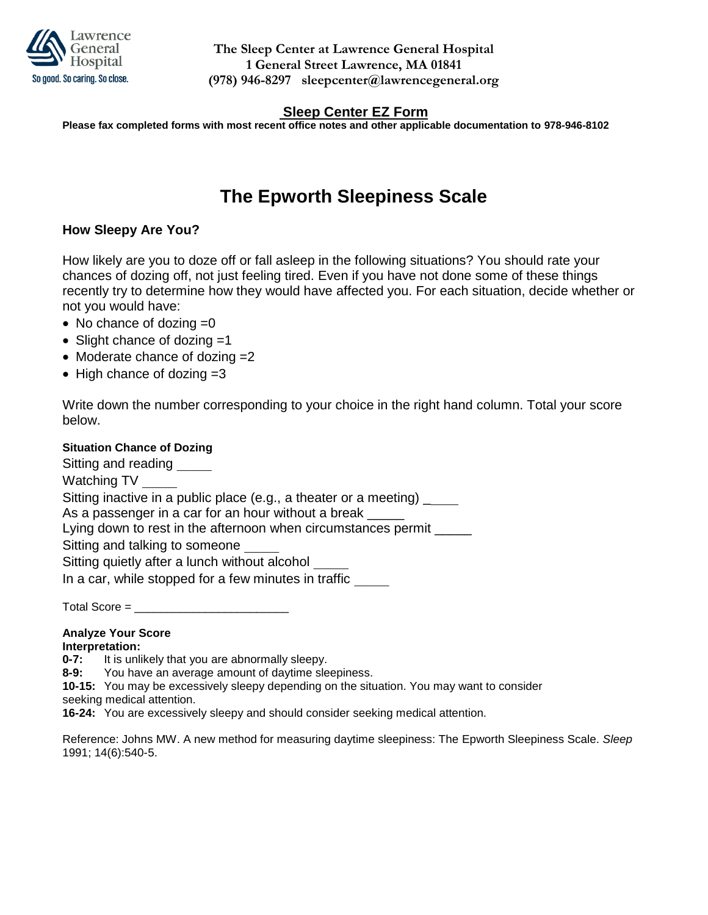

## **Sleep Center EZ Form**

**Please fax completed forms with most recent office notes and other applicable documentation to 978-946-8102**

# **The Epworth Sleepiness Scale**

## **How Sleepy Are You?**

How likely are you to doze off or fall asleep in the following situations? You should rate your chances of dozing off, not just feeling tired. Even if you have not done some of these things recently try to determine how they would have affected you. For each situation, decide whether or not you would have:

- $\bullet$  No chance of dozing  $=0$
- Slight chance of dozing =1
- Moderate chance of dozing =2
- $\bullet$  High chance of dozing  $=3$

Write down the number corresponding to your choice in the right hand column. Total your score below.

#### **Situation Chance of Dozing**

Sitting and reading Watching TV Sitting inactive in a public place (e.g., a theater or a meeting) \_ As a passenger in a car for an hour without a break  $\equiv$ Lying down to rest in the afternoon when circumstances permit Sitting and talking to someone Sitting quietly after a lunch without alcohol In a car, while stopped for a few minutes in traffic

Total Score = \_\_\_\_\_\_\_\_\_\_\_\_\_\_\_\_\_\_\_\_\_\_\_\_

### **Analyze Your Score**

#### **Interpretation:**

**0-7:** It is unlikely that you are abnormally sleepy.

**8-9:** You have an average amount of daytime sleepiness.

**10-15:** You may be excessively sleepy depending on the situation. You may want to consider

seeking medical attention.

**16-24:** You are excessively sleepy and should consider seeking medical attention.

Reference: Johns MW. A new method for measuring daytime sleepiness: The Epworth Sleepiness Scale. *Sleep*  1991; 14(6):540-5.